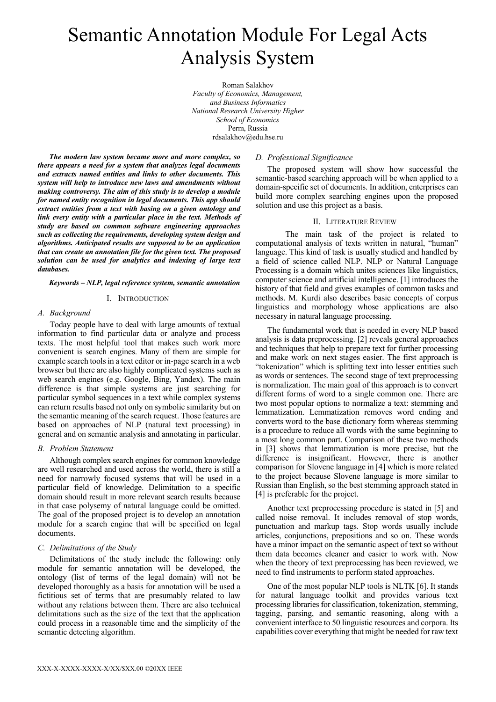# Semantic Annotation Module For Legal Acts Analysis System

Roman Salakhov *Faculty of Economics, Management, and Business Informatics National Research University Higher School of Economics* Perm, Russia rdsalakhov@edu.hse.ru

*The modern law system became more and more complex, so there appears a need for a system that analyzes legal documents and extracts named entities and links to other documents. This system will help to introduce new laws and amendments without making controversy. The aim of this study is to develop a module for named entity recognition in legal documents. This app should extract entities from a text with basing on a given ontology and link every entity with a particular place in the text. Methods of study are based on common software engineering approaches such as collecting the requirements, developing system design and algorithms. Anticipated results are supposed to be an application that can create an annotation file for the given text. The proposed solution can be used for analytics and indexing of large text databases.*

## *Keywords – NLP, legal reference system, semantic annotation*

# I. INTRODUCTION

# *A. Background*

Today people have to deal with large amounts of textual information to find particular data or analyze and process texts. The most helpful tool that makes such work more convenient is search engines. Many of them are simple for example search tools in a text editor or in-page search in a web browser but there are also highly complicated systems such as web search engines (e.g. Google, Bing, Yandex). The main difference is that simple systems are just searching for particular symbol sequences in a text while complex systems can return results based not only on symbolic similarity but on the semantic meaning of the search request. Those features are based on approaches of NLP (natural text processing) in general and on semantic analysis and annotating in particular.

## *B. Problem Statement*

Although complex search engines for common knowledge are well researched and used across the world, there is still a need for narrowly focused systems that will be used in a particular field of knowledge. Delimitation to a specific domain should result in more relevant search results because in that case polysemy of natural language could be omitted. The goal of the proposed project is to develop an annotation module for a search engine that will be specified on legal documents.

# *C. Delimitations of the Study*

Delimitations of the study include the following: only module for semantic annotation will be developed, the ontology (list of terms of the legal domain) will not be developed thoroughly as a basis for annotation will be used a fictitious set of terms that are presumably related to law without any relations between them. There are also technical delimitations such as the size of the text that the application could process in a reasonable time and the simplicity of the semantic detecting algorithm.

# *D. Professional Significance*

The proposed system will show how successful the semantic-based searching approach will be when applied to a domain-specific set of documents. In addition, enterprises can build more complex searching engines upon the proposed solution and use this project as a basis.

#### II. LITERATURE REVIEW

The main task of the project is related to computational analysis of texts written in natural, "human" language. This kind of task is usually studied and handled by a field of science called NLP. NLP or Natural Language Processing is a domain which unites sciences like linguistics, computer science and artificial intelligence. [1] introduces the history of that field and gives examples of common tasks and methods. M. Kurdi also describes basic concepts of corpus linguistics and morphology whose applications are also necessary in natural language processing.

The fundamental work that is needed in every NLP based analysis is data preprocessing. [2] reveals general approaches and techniques that help to prepare text for further processing and make work on next stages easier. The first approach is "tokenization" which is splitting text into lesser entities such as words or sentences. The second stage of text preprocessing is normalization. The main goal of this approach is to convert different forms of word to a single common one. There are two most popular options to normalize a text: stemming and lemmatization. Lemmatization removes word ending and converts word to the base dictionary form whereas stemming is a procedure to reduce all words with the same beginning to a most long common part. Comparison of these two methods in [3] shows that lemmatization is more precise, but the difference is insignificant. However, there is another comparison for Slovene language in [4] which is more related to the project because Slovene language is more similar to Russian than English, so the best stemming approach stated in [4] is preferable for the project.

Another text preprocessing procedure is stated in [5] and called noise removal. It includes removal of stop words, punctuation and markup tags. Stop words usually include articles, conjunctions, prepositions and so on. These words have a minor impact on the semantic aspect of text so without them data becomes cleaner and easier to work with. Now when the theory of text preprocessing has been reviewed, we need to find instruments to perform stated approaches.

One of the most popular NLP tools is NLTK [6]. It stands for natural language toolkit and provides various text processing libraries for classification, tokenization, stemming, tagging, parsing, and semantic reasoning, along with a convenient interface to 50 linguistic resources and corpora. Its capabilities cover everything that might be needed for raw text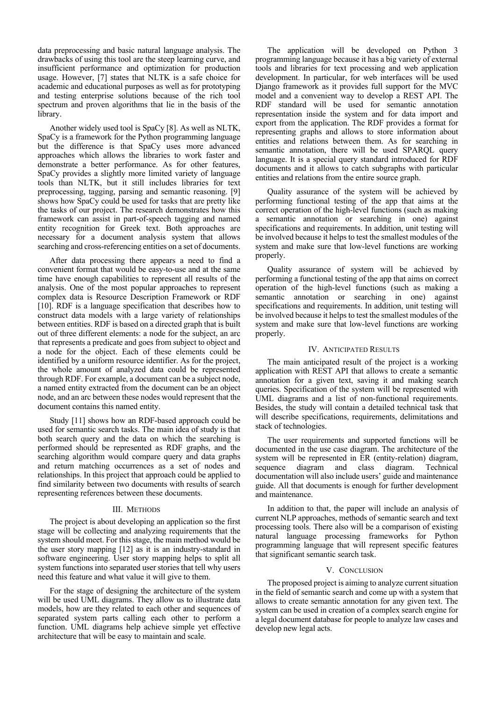data preprocessing and basic natural language analysis. The drawbacks of using this tool are the steep learning curve, and insufficient performance and optimization for production usage. However, [7] states that NLTK is a safe choice for academic and educational purposes as well as for prototyping and testing enterprise solutions because of the rich tool spectrum and proven algorithms that lie in the basis of the library.

Another widely used tool is SpaCy [8]. As well as NLTK, SpaCy is a framework for the Python programming language but the difference is that SpaCy uses more advanced approaches which allows the libraries to work faster and demonstrate a better performance. As for other features, SpaCy provides a slightly more limited variety of language tools than NLTK, but it still includes libraries for text preprocessing, tagging, parsing and semantic reasoning. [9] shows how SpaCy could be used for tasks that are pretty like the tasks of our project. The research demonstrates how this framework can assist in part-of-speech tagging and named entity recognition for Greek text. Both approaches are necessary for a document analysis system that allows searching and cross-referencing entities on a set of documents.

After data processing there appears a need to find a convenient format that would be easy-to-use and at the same time have enough capabilities to represent all results of the analysis. One of the most popular approaches to represent complex data is Resource Description Framework or RDF [10]. RDF is a language specification that describes how to construct data models with a large variety of relationships between entities. RDF is based on a directed graph that is built out of three different elements: a node for the subject, an arc that represents a predicate and goes from subject to object and a node for the object. Each of these elements could be identified by a uniform resource identifier. As for the project, the whole amount of analyzed data could be represented through RDF. For example, a document can be a subject node, a named entity extracted from the document can be an object node, and an arc between these nodes would represent that the document contains this named entity.

Study [11] shows how an RDF-based approach could be used for semantic search tasks. The main idea of study is that both search query and the data on which the searching is performed should be represented as RDF graphs, and the searching algorithm would compare query and data graphs and return matching occurrences as a set of nodes and relationships. In this project that approach could be applied to find similarity between two documents with results of search representing references between these documents.

# III. METHODS

The project is about developing an application so the first stage will be collecting and analyzing requirements that the system should meet. For this stage, the main method would be the user story mapping [12] as it is an industry-standard in software engineering. User story mapping helps to split all system functions into separated user stories that tell why users need this feature and what value it will give to them.

For the stage of designing the architecture of the system will be used UML diagrams. They allow us to illustrate data models, how are they related to each other and sequences of separated system parts calling each other to perform a function. UML diagrams help achieve simple yet effective architecture that will be easy to maintain and scale.

The application will be developed on Python 3 programming language because it has a big variety of external tools and libraries for text processing and web application development. In particular, for web interfaces will be used Django framework as it provides full support for the MVC model and a convenient way to develop a REST API. The RDF standard will be used for semantic annotation representation inside the system and for data import and export from the application. The RDF provides a format for representing graphs and allows to store information about entities and relations between them. As for searching in semantic annotation, there will be used SPARQL query language. It is a special query standard introduced for RDF documents and it allows to catch subgraphs with particular entities and relations from the entire source graph.

Quality assurance of the system will be achieved by performing functional testing of the app that aims at the correct operation of the high-level functions (such as making a semantic annotation or searching in one) against specifications and requirements. In addition, unit testing will be involved because it helps to test the smallest modules of the system and make sure that low-level functions are working properly.

Quality assurance of system will be achieved by performing a functional testing of the app that aims on correct operation of the high-level functions (such as making a semantic annotation or searching in one) against specifications and requirements. In addition, unit testing will be involved because it helps to test the smallest modules of the system and make sure that low-level functions are working properly.

# IV. ANTICIPATED RESULTS

The main anticipated result of the project is a working application with REST API that allows to create a semantic annotation for a given text, saving it and making search queries. Specification of the system will be represented with UML diagrams and a list of non-functional requirements. Besides, the study will contain a detailed technical task that will describe specifications, requirements, delimitations and stack of technologies.

The user requirements and supported functions will be documented in the use case diagram. The architecture of the system will be represented in ER (entity-relation) diagram, sequence diagram and class diagram. Technical documentation will also include users' guide and maintenance guide. All that documents is enough for further development and maintenance.

In addition to that, the paper will include an analysis of current NLP approaches, methods of semantic search and text processing tools. There also will be a comparison of existing natural language processing frameworks for Python programming language that will represent specific features that significant semantic search task.

## V. CONCLUSION

The proposed project is aiming to analyze current situation in the field of semantic search and come up with a system that allows to create semantic annotation for any given text. The system can be used in creation of a complex search engine for a legal document database for people to analyze law cases and develop new legal acts.